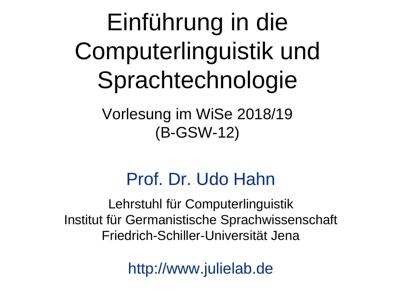Einführung in die Computerlinguistik und Sprachtechnologie

> Vorlesung im WiSe 2018/19 (B-GSW-12)

### Prof. Dr. Udo Hahn

Lehrstuhl für Computerlinguistik Institut für Germanistische Sprachwissenschaft Friedrich-Schiller-Universität Jena

http://www.julielab.de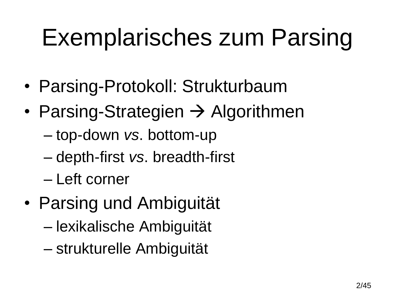# Exemplarisches zum Parsing

- Parsing-Protokoll: Strukturbaum
- Parsing-Strategien  $\rightarrow$  Algorithmen
	- top-down *vs*. bottom-up
	- depth-first *vs*. breadth-first
	- Left corner
- Parsing und Ambiguität
	- lexikalische Ambiguität
	- strukturelle Ambiguität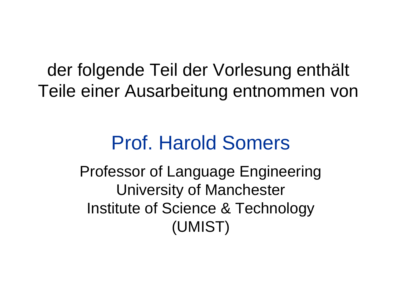der folgende Teil der Vorlesung enthält Teile einer Ausarbeitung entnommen von

### Prof. Harold Somers

Professor of Language Engineering University of Manchester Institute of Science & Technology (UMIST)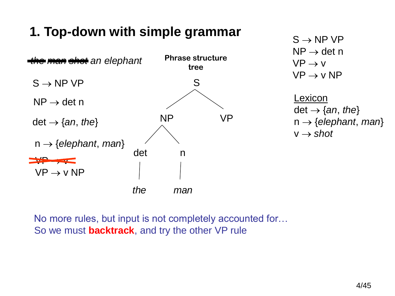### **1. Top-down with simple grammar**



 $S \rightarrow NP VP$  $NP \rightarrow det n$  $VP \rightarrow V$  $VP \rightarrow V NP$ 

Lexicon det  $\rightarrow$  {*an*, *the*}  $n \rightarrow \{elephant, man\}$  $v \rightarrow shot$ 

No more rules, but input is not completely accounted for… So we must **backtrack**, and try the other VP rule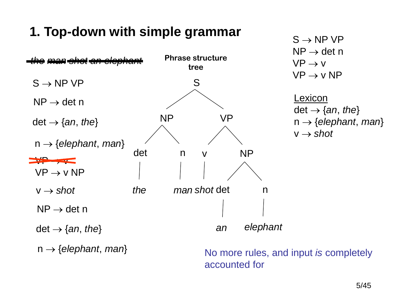### **1. Top-down with simple grammar**



accounted for

 $S \rightarrow NP VP$  $NP \rightarrow det n$  $VP \rightarrow V$  $VP \rightarrow V NP$ 

Lexicon det  $\rightarrow$  {*an*, *the*}  $n \rightarrow \{elephant, man\}$  $v \rightarrow shot$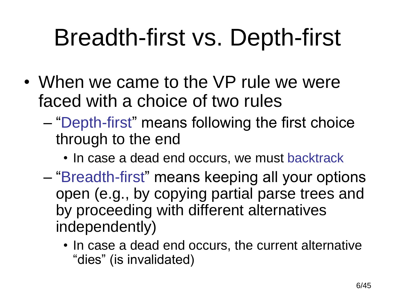## Breadth-first vs. Depth-first

- When we came to the VP rule we were faced with a choice of two rules
	- "Depth-first" means following the first choice through to the end
		- In case a dead end occurs, we must backtrack
	- "Breadth-first" means keeping all your options open (e.g., by copying partial parse trees and by proceeding with different alternatives independently)
		- In case a dead end occurs, the current alternative "dies" (is invalidated)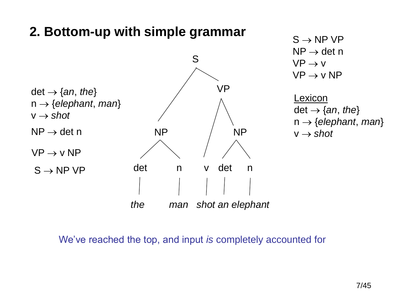#### **2. Bottom-up with simple grammar**



 $S \rightarrow NP VP$  $NP \rightarrow det n$  $VP \rightarrow V$  $VP \rightarrow V NP$ 

Lexicon det  $\rightarrow$  {*an*, *the*}  $n \rightarrow \{e \mid e \}$ *nant*, *man* $\}$  $v \rightarrow shot$ 

We've reached the top, but input is not completely accounted for…  $\mathsf{vec}$  ve reached the top, and input is complete We've reached the top, and input *is* completely accounted for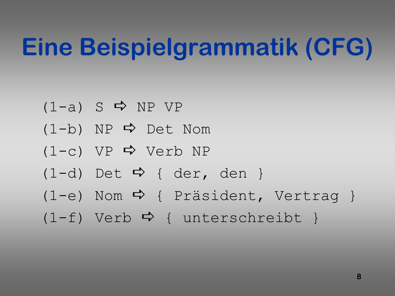## **Eine Beispielgrammatik (CFG)**

 $(1-a)$  S  $\Rightarrow$  NP VP  $(1-b)$  NP  $\Rightarrow$  Det Nom  $(1-c)$  VP  $\Rightarrow$  Verb NP  $(1-d)$  Det  $\Rightarrow$  { der, den }  $(1-e)$  Nom  $\Rightarrow$  { Präsident, Vertrag }  $(1-f)$  Verb  $\Rightarrow$  { unterschreibt }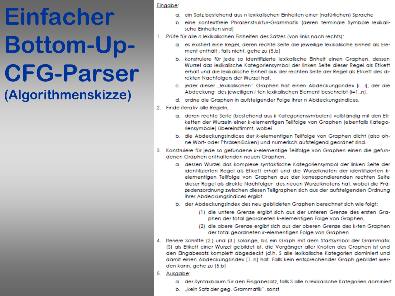#### Eingabe:

- a. ein Satz bestehend aus nilexikalischen Einheiten einer (natürlichen) Sprache
- b. eine kontextfreie Phrasenstruktur-Grammatik (deren terminale Symbole lexikalische Einheiten sind)
- 1. Prüfe für alle n lexikalischen Einheiten des Satzes (von links nach rechts):
	- a. es existiert eine Reael, deren rechte Seite die jeweilige lexikalische Einheit als Element enthält ; falls nicht, gehe zu (5.b)
	- b. konstruiere für jede so identifizierte lexikalische Einheit einen Graphen, dessen Wurzel das lexikalische Kategoriensymbol der linken Seite dieser Regel als Etikett erhält und die lexikalische Einheit aus der rechten Seite der Regel als Etikett des direkten Nachfolgers der Wurzel hat.
	- c. jeder dieser "lexikalischen" Graphen hat einen Abdeckungsindex [i...i], der die Abdeckung des jeweiligen i-ten lexikalischen Element beschreibt (i=1..n).
	- d. ordne die Graphen in aufsteigender Folge ihrer n Abdeckungsindices.
- 2. Finde iterativ alle Regeln,
	- a. deren rechte Seite (bestehend aus k Kategoriensymbolen) vollständig mit den Etiketten der Wurzeln einer k-elementigen Teilfolge von Graphen (ebenfalls Kategoriensymbole) übereinstimmt, wobei
	- b. die Abdeckungsindices der k-elementigen Teilfolge von Graphen dicht (also ohne Wort- oder Phrasenlücken) und numerisch aufsteigend geordnet sind.
- 3. Konstruiere für jede so gefundene k-elementige Teilfolge von Graphen einen die gefundenen Graphen enthaltenden neuen Graphen,
	- a. dessen Wurzel das komplexe syntaktische Kategoriensymbol der linken Seite der identifizierten Regel als Etikett erhält und die Wurzelknoten der identifizierten kelementigen Teilfolge von Graphen aus der korrespondierenden rechten Seite dieser Regel als direkte Nachfolger des neuen Wurzelknotens hat, wobei die Präzedenzordnung zwischen diesen Teilgraphen sich aus der aufsteigenden Ordnung ihrer Abdeckungsindices ergibt.
	- b. der Abdeckungsindex des neu gebildeten Graphen berechnet sich wie folgt:
		- (1) die untere Grenze ergibt sich aus der unteren Grenze des ersten Graphen der total geordneten k-elementigen Folge von Graphen,
		- (2) die obere Grenze ergibt sich aus der oberen Grenze des k-ten Graphen der total geordneten k-elementigen Folge von Graphen.
- 4. Iteriere Schritte (2.) und (3.) solange, bis ein Graph mit dem Startsymbol der Grammatik (S) als Etikett einer Wurzel gebildet ist, die Vorgänger aller Knoten des Graphen ist und den Eingabesatz komplett abgedeckt (d.h. S alle lexikalische Kategorien dominiert und damit einen Abdeckungsindex [1..n] hat. Falls kein entsprechender Graph gebildet werden kann, gehe zu (5.b)
- 5. Ausgabe:
	- a. der Syntaxbaum für den Eingabesatz, falls S alle n lexikalische Kategorien dominiert
	- b. "kein Satz der geg. Grammatik", sonst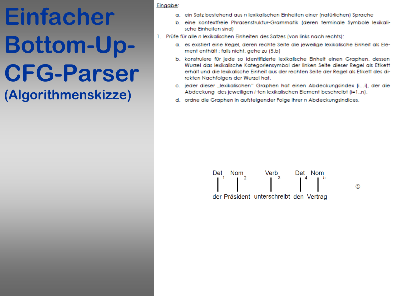#### Eingabe:

- a. ein Satz bestehend aus nilexikalischen Einheiten einer (natürlichen) Sprache
- b. eine kontextfreie Phrasenstruktur-Grammatik (deren terminale Symbole lexikalische Einheiten sind)
- 1. Prüfe für alle n lexikalischen Einheiten des Satzes (von links nach rechts):
	- a. es existiert eine Regel, deren rechte Seite die jeweilige lexikalische Einheit als Element enthält; falls nicht, gehe zu (5.b)
	- b. konstruiere für jede so identifizierte lexikalische Einheit einen Graphen, dessen Wurzel das lexikalische Kategoriensymbol der linken Seite dieser Regel als Etikett erhält und die lexikalische Einheit aus der rechten Seite der Regel als Etikett des direkten Nachfolgers der Wurzel hat.
	- c. jeder dieser "lexikalischen" Graphen hat einen Abdeckungsindex [i...i], der die Abdeckung des jeweiligen i-ten lexikalischen Element beschreibt (i=1..n).
	- d. ordne die Graphen in aufsteigender Folge ihrer n Abdeckungsindices.

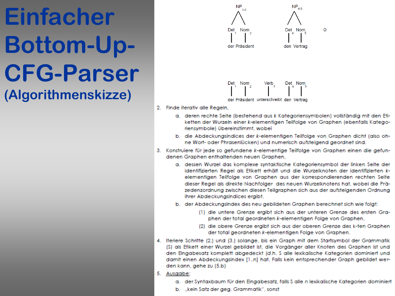

- 2. Finde iterativ alle Regeln,
	- a. deren rechte Seite (bestehend aus k Kategoriensymbolen) vollständig mit den Etiketten der Wurzeln einer k-elementigen Teilfolge von Graphen (ebenfalls Kategoriensymbole) übereinstimmt, wobei
	- b. die Abdeckungsindices der k-elementigen Teilfolge von Graphen dicht (also ohne Wort- oder Phrasenlücken) und numerisch aufsteigend geordnet sind.
- 3. Konstruiere für jede so gefundene k-elementige Teilfolge von Graphen einen die gefundenen Graphen enthaltenden neuen Graphen,
	- a. dessen Wurzel das komplexe syntaktische Kategoriensymbol der linken Seite der identifizierten Regel als Etikett erhält und die Wurzelknoten der identifizierten kelementigen Teilfolge von Graphen aus der korrespondierenden rechten Seite dieser Regel als direkte Nachfolger des neuen Wurzelknotens hat, wobei die Präzedenzordnung zwischen diesen Teilgraphen sich aus der aufsteigenden Ordnung ihrer Abdeckungsindices ergibt.
	- b. der Abdeckungsindex des neu gebildeten Graphen berechnet sich wie folgt:
		- (1) die untere Grenze ergibt sich aus der unteren Grenze des ersten Graphen der total geordneten k-elementigen Folge von Graphen,
		- (2) die obere Grenze ergibt sich aus der oberen Grenze des k-ten Graphen der total geordneten k-elementigen Folge von Graphen.
- 4. Iteriere Schritte (2.) und (3.) solange, bis ein Graph mit dem Startsymbol der Grammatik (S) als Etikett einer Wurzel gebildet ist, die Vorgänger aller Knoten des Graphen ist und den Eingabesatz komplett abgedeckt (d.h. S alle lexikalische Kategorien dominiert und damit einen Abdeckungsindex [1..n] hat. Falls kein entsprechender Graph gebildet werden kann, gehe zu (5.b)
- 5. Ausgabe:
	- a. der Syntaxbaum für den Eingabesatz, falls S alle n lexikalische Kategorien dominiert
	- b. "kein Satz der geg. Grammatik", sonst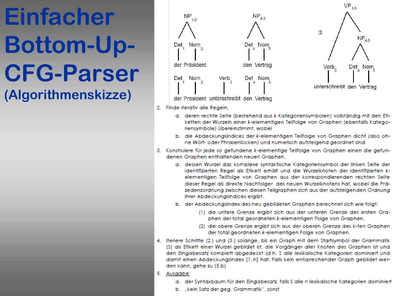

- 2. Finde iterativ alle Regeln,
	- a. deren rechte Seite (bestehend aus k Kategoriensymbolen) vollständig mit den Etiketten der Wurzeln einer k-elementigen Teilfolge von Graphen (ebenfalls Kategoriensymbole) übereinstimmt, wobei
	- b. die Abdeckungsindices der k-elementigen Teilfolge von Graphen dicht (also ohne Wort- oder Phrasenlücken) und numerisch aufsteigend geordnet sind.
- 3. Konstruiere für jede so gefundene k-elementige Teilfolge von Graphen einen die gefundenen Graphen enthaltenden neuen Graphen,
	- a. dessen Wurzel das komplexe syntaktische Kategoriensymbol der linken Seite der identifizierten Regel als Etikett erhält und die Wurzelknoten der identifizierten kelementigen Teilfolge von Graphen aus der korrespondierenden rechten Seite dieser Regel als direkte Nachfolger des neuen Wurzelknotens hat, wobei die Präzedenzordnung zwischen diesen Teilgraphen sich aus der aufsteigenden Ordnung ihrer Abdeckungsindices ergibt.
	- b. der Abdeckungsindex des neu gebildeten Graphen berechnet sich wie folgt:
		- (1) die untere Grenze ergibt sich aus der unteren Grenze des ersten Graphen der total geordneten k-elementigen Folge von Graphen,
		- (2) die obere Grenze ergibt sich aus der oberen Grenze des k-ten Graphen der total geordneten k-elementigen Folge von Graphen.
- 4. Iteriere Schritte (2.) und (3.) solange, bis ein Graph mit dem Startsymbol der Grammatik (S) als Etikett einer Wurzel gebildet ist, die Vorgänger aller Knoten des Graphen ist und den Eingabesatz komplett abgedeckt (d.h. S alle lexikalische Kategorien dominiert und damit einen Abdeckungsindex [1..n] hat. Falls kein entsprechender Graph gebildet werden kann, gehe zu (5.b)
- 5. Ausgabe:
	- a. der Syntaxbaum für den Eingabesatz, falls S alle n lexikalische Kategorien dominiert
	- b. "kein Satz der geg. Grammatik", sonst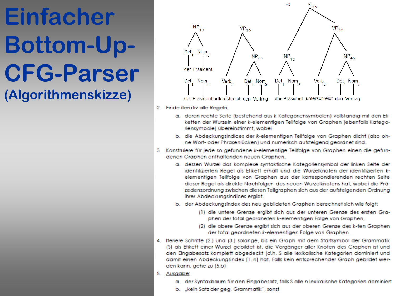

- 2. Finde iterativ alle Regeln,
	- a. deren rechte Seite (bestehend aus k Kategoriensymbolen) vollständig mit den Etiketten der Wurzeln einer k-elementigen Teilfolge von Graphen (ebenfalls Kategoriensymbole) übereinstimmt, wobei
	- b. die Abdeckungsindices der k-elementigen Teilfolge von Graphen dicht (also ohne Wort- oder Phrasenlücken) und numerisch aufsteigend geordnet sind.
- 3. Konstruiere für jede so gefundene k-elementige Teilfolge von Graphen einen die gefundenen Graphen enthaltenden neuen Graphen,
	- a. dessen Wurzel das komplexe syntaktische Kategoriensymbol der linken Seite der identifizierten Regel als Etikett erhält und die Wurzelknoten der identifizierten kelementigen Teilfolge von Graphen aus der korrespondierenden rechten Seite dieser Regel als direkte Nachfolger des neuen Wurzelknotens hat, wobei die Präzedenzordnung zwischen diesen Teilgraphen sich aus der aufsteigenden Ordnung ihrer Abdeckungsindices ergibt.
	- b. der Abdeckungsindex des neu gebildeten Graphen berechnet sich wie folgt:
		- (1) die untere Grenze ergibt sich aus der unteren Grenze des ersten Graphen der total geordneten k-elementigen Folge von Graphen,
		- (2) die obere Grenze ergibt sich aus der oberen Grenze des k-ten Graphen der total geordneten k-elementigen Folge von Graphen.
- 4. Iteriere Schritte (2.) und (3.) solange, bis ein Graph mit dem Startsymbol der Grammatik (S) als Etikett einer Wurzel gebildet ist, die Vorgänger aller Knoten des Graphen ist und den Eingabesatz komplett abgedeckt (d.h. S alle lexikalische Kategorien dominiert und damit einen Abdeckungsindex [1..n] hat. Falls kein entsprechender Graph gebildet werden kann, gehe zu (5.b)
- 5. Ausgabe:
	- a. der Syntaxbaum für den Eingabesatz, falls S alle n lexikalische Kategorien dominiert
	- b. "kein Satz der geg. Grammatik", sonst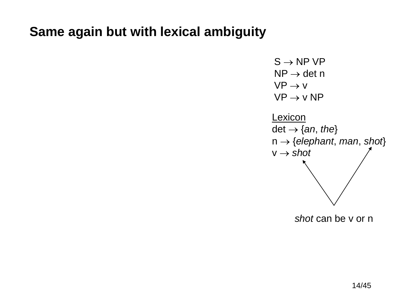#### **Same again but with lexical ambiguity**

$$
S \rightarrow NP VP
$$
  
\n
$$
NP \rightarrow det n
$$
  
\n
$$
VP \rightarrow V
$$
  
\n
$$
VP \rightarrow V NP
$$
  
\n
$$
Lexicon
$$
  
\n
$$
det \rightarrow \{an, the\}
$$
  
\n
$$
n \rightarrow \{elephant, man, shot\}
$$
  
\n
$$
V \rightarrow shot
$$

*shot* can be v or n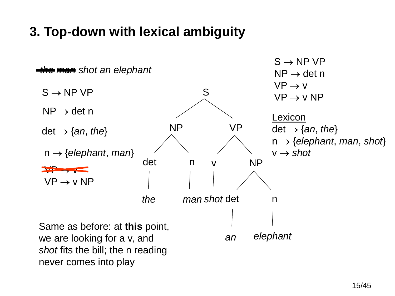#### **3. Top-down with lexical ambiguity**

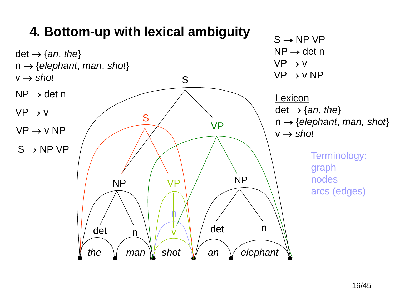

#### 16/45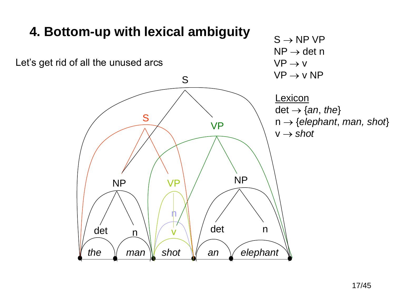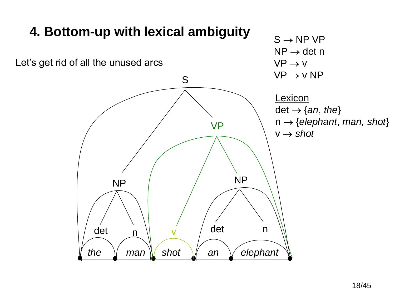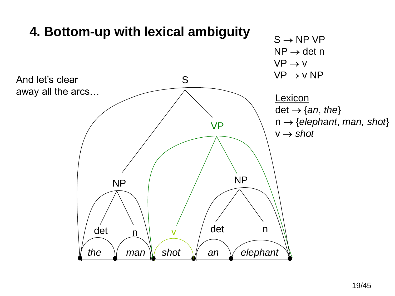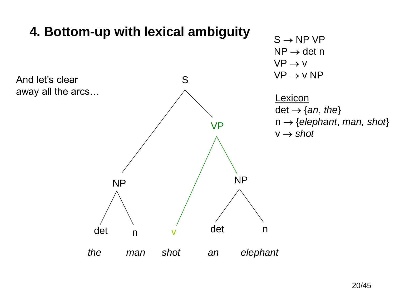

#### 20/45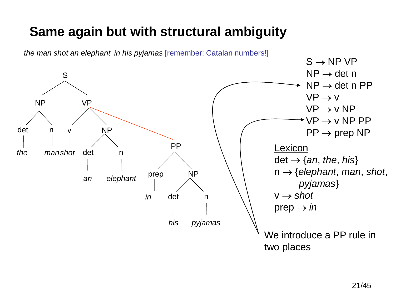### **Same again but with structural ambiguity**

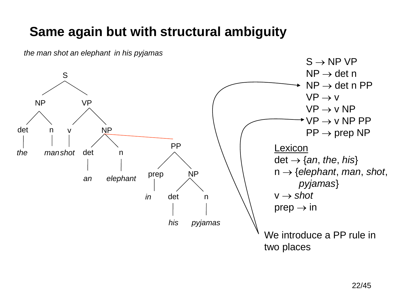#### **Same again but with structural ambiguity**



*the man shot an elephant in his pyjamas*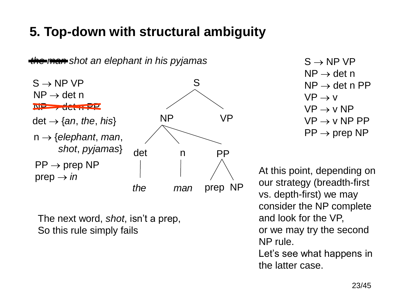### **5. Top-down with structural ambiguity**



The next word, *shot*, isn't a prep, So this rule simply fails

 $S \rightarrow NP VP$  $NP \rightarrow det n$  $NP \rightarrow det n PP$  $VP \rightarrow V$  $VP \rightarrow V NP$  $VP \rightarrow V NP PP$  $PP \rightarrow prep NP$ 

At this point, depending on our strategy (breadth-first vs. depth-first) we may consider the NP complete and look for the VP, or we may try the second NP rule.

Let's see what happens in the latter case.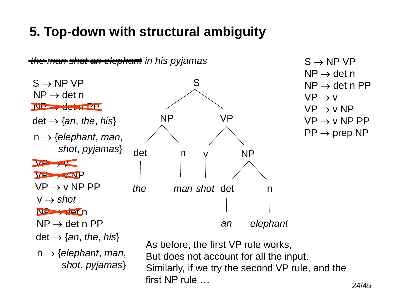### **5. Top-down with structural ambiguity**

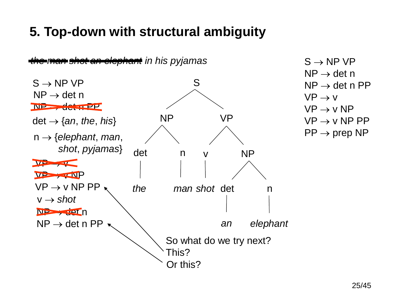### **5. Top-down with structural ambiguity**

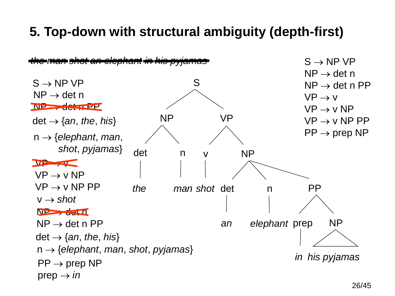#### **5. Top-down with structural ambiguity (depth-first)**

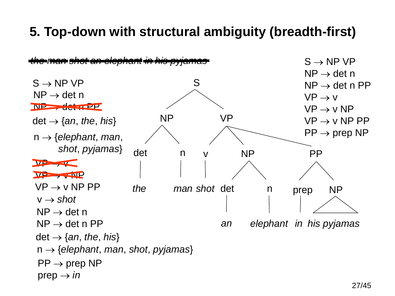#### **5. Top-down with structural ambiguity (breadth-first)**

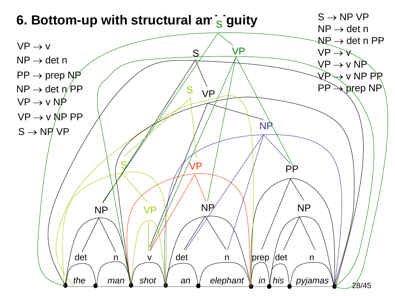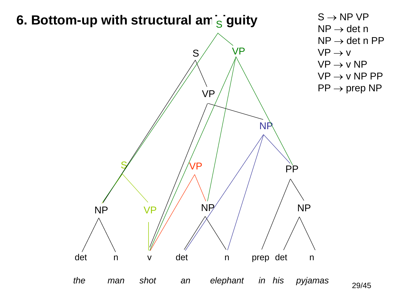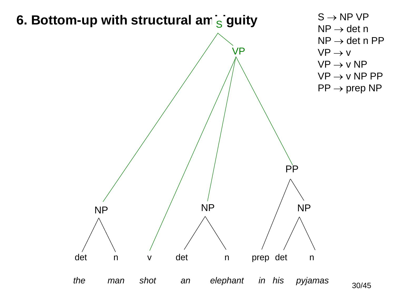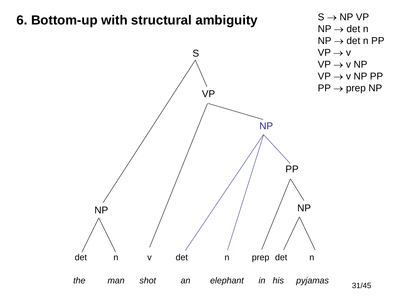#### **6. Bottom-up with structural ambiguity**



31/45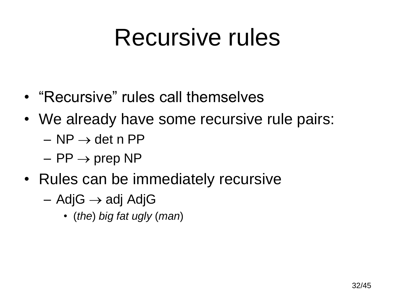### Recursive rules

- "Recursive" rules call themselves
- We already have some recursive rule pairs:
	- $-$  NP  $\rightarrow$  det n PP
	- $-$  PP  $\rightarrow$  prep NP
- Rules can be immediately recursive
	- $-$  AdjG  $\rightarrow$  adj AdjG
		- (*the*) *big fat ugly* (*man*)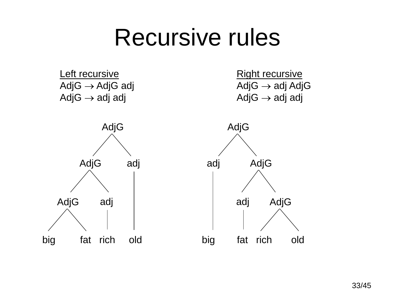### Recursive rules

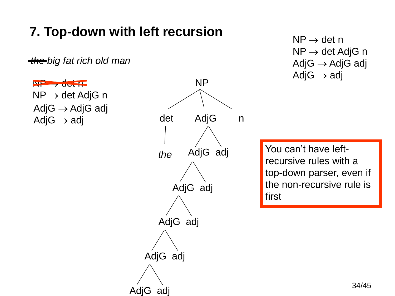### **7. Top-down with left recursion**

*the big fat rich old man*

 $N_{\rm P}$  , det  $N_{\rm P}$  $NP \rightarrow det AdjG n$  $AdjG \rightarrow AdjG$  adj  $AdjG \rightarrow adj$ 



 $NP \rightarrow det n$  $NP \rightarrow det AdjG n$  $AdjG \rightarrow AdjG$  adj  $AdjG \rightarrow adj$ 

You can't have leftrecursive rules with a top-down parser, even if the non-recursive rule is first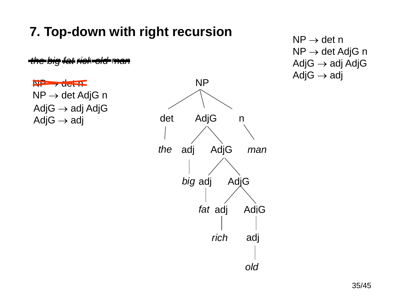### **7. Top-down with right recursion**

*the big fat rich old man old*

 $N_{\rm H}$  , det  $R_{\rm H}$  $NP \rightarrow det AdjG n$  $AdjG \rightarrow adj$  AdjG  $AdjG \rightarrow adj$ 



 $NP \rightarrow det n$  $NP \rightarrow det AdjG n$  $AdjG \rightarrow adj$  AdjG  $AdjG \rightarrow adj$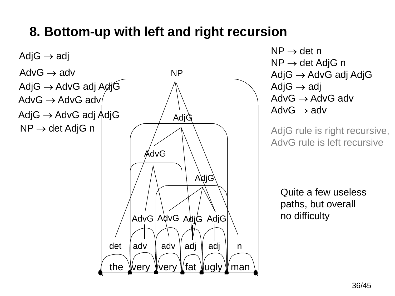#### **8. Bottom-up with left and right recursion**



 $NP \rightarrow det n$  $NP \rightarrow det AdjG n$  $AdjG \rightarrow AdvG$  adj AdjG Adj $G \rightarrow adi$  $AdvG \rightarrow AdvG$  adv  $AdvG \rightarrow adv$ 

AdjG rule is right recursive, AdvG rule is left recursive

Quite a few useless paths, but overall no difficulty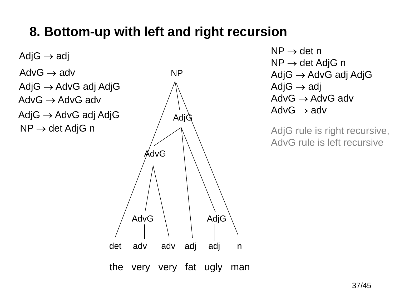#### **8. Bottom-up with left and right recursion**

the very very fat ugly man det adv adv adj adj n Adj $G \rightarrow adi$ AdjG AdvG  $\rightarrow$  adv AdvG  $AdjG \rightarrow AdvG$  adj AdjG  $AdvG \rightarrow AdvG$  adv AdvG AdjG  $\rightarrow$  AdvG adj AdjG  $\qquad\qquad$  AdjG  $NP \rightarrow det AdiG n$ NP

 $NP \rightarrow det n$  $NP \rightarrow det AdjG n$  $AdjG \rightarrow AdvG$  adj AdjG  $AdjG \rightarrow adj$  $AdvG \rightarrow AdvG$  adv  $AdvG \rightarrow adv$ 

AdjG rule is right recursive, AdvG rule is left recursive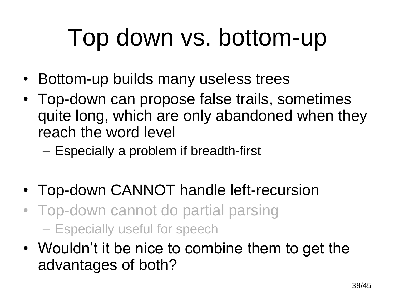## Top down vs. bottom-up

- Bottom-up builds many useless trees
- Top-down can propose false trails, sometimes quite long, which are only abandoned when they reach the word level
	- Especially a problem if breadth-first
- Top-down CANNOT handle left-recursion
- Top-down cannot do partial parsing – Especially useful for speech
- Wouldn't it be nice to combine them to get the advantages of both?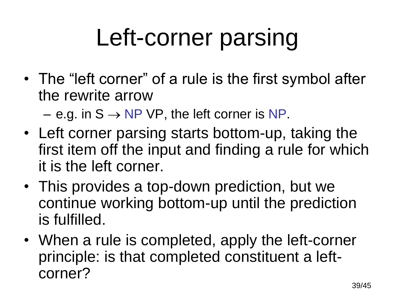# Left-corner parsing

- The "left corner" of a rule is the first symbol after the rewrite arrow
	- $-$  e.g. in S  $\rightarrow$  NP VP, the left corner is NP.
- Left corner parsing starts bottom-up, taking the first item off the input and finding a rule for which it is the left corner.
- This provides a top-down prediction, but we continue working bottom-up until the prediction is fulfilled.
- When a rule is completed, apply the left-corner principle: is that completed constituent a leftcorner?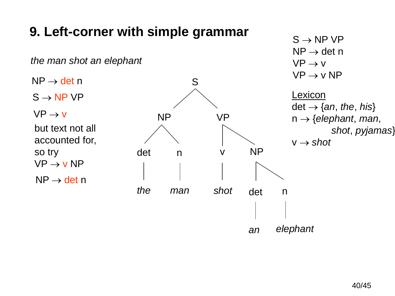

#### 40/45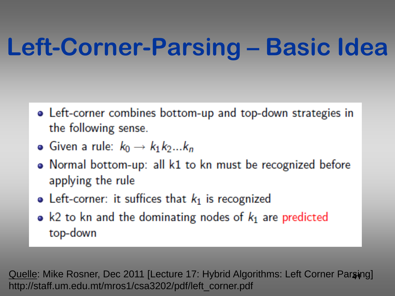## **Left-Corner-Parsing – Basic Idea**

- Left-corner combines bottom-up and top-down strategies in the following sense.
- Given a rule:  $k_0 \rightarrow k_1 k_2...k_n$
- Normal bottom-up: all k1 to kn must be recognized before applying the rule
- Left-corner: it suffices that  $k_1$  is recognized
- k2 to kn and the dominating nodes of  $k_1$  are predicted top-down

**41** Quelle: Mike Rosner, Dec 2011 [Lecture 17: Hybrid Algorithms: Left Corner Parsing] http://staff.um.edu.mt/mros1/csa3202/pdf/left\_corner.pdf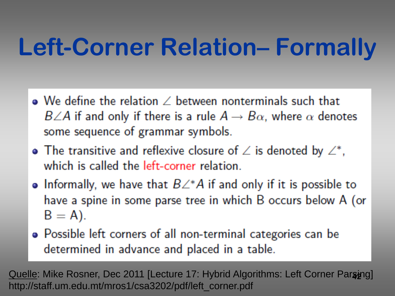## **Left-Corner Relation– Formally**

- $\bullet$  We define the relation  $\angle$  between nonterminals such that  $B\angle A$  if and only if there is a rule  $A\rightarrow B\alpha$ , where  $\alpha$  denotes some sequence of grammar symbols.
- The transitive and reflexive closure of  $\angle$  is denoted by  $\angle^*$ , which is called the left-corner relation.
- Informally, we have that  $B\angle^*A$  if and only if it is possible to have a spine in some parse tree in which B occurs below A (or  $B = A$ ).
- Possible left corners of all non-terminal categories can be determined in advance and placed in a table.

<u>Quelle</u>: Mike Rosner, Dec 2011 [Lecture 17: Hybrid Algorithms: Left Corner Par**s**ing] http://staff.um.edu.mt/mros1/csa3202/pdf/left\_corner.pdf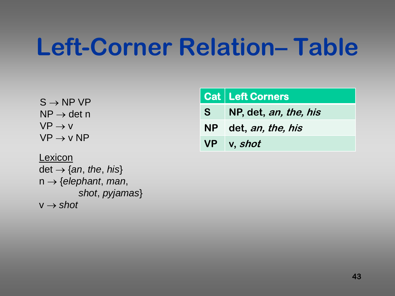### **Left-Corner Relation– Table**

 $S \rightarrow NP VP$  $NP \rightarrow det n$  $VP \rightarrow V$  $VP \rightarrow V NP$ 

**Lexicon**  $det \rightarrow \{an, the, his\}$  $n \rightarrow \{elephant, man,$ *shot*, *pyjamas*}  $v \rightarrow$  shot

|   | <b>Cat   Left Corners</b> |
|---|---------------------------|
| S | NP, det, an, the, his     |
|   | NP det, an, the, his      |
|   | VP v, shot                |